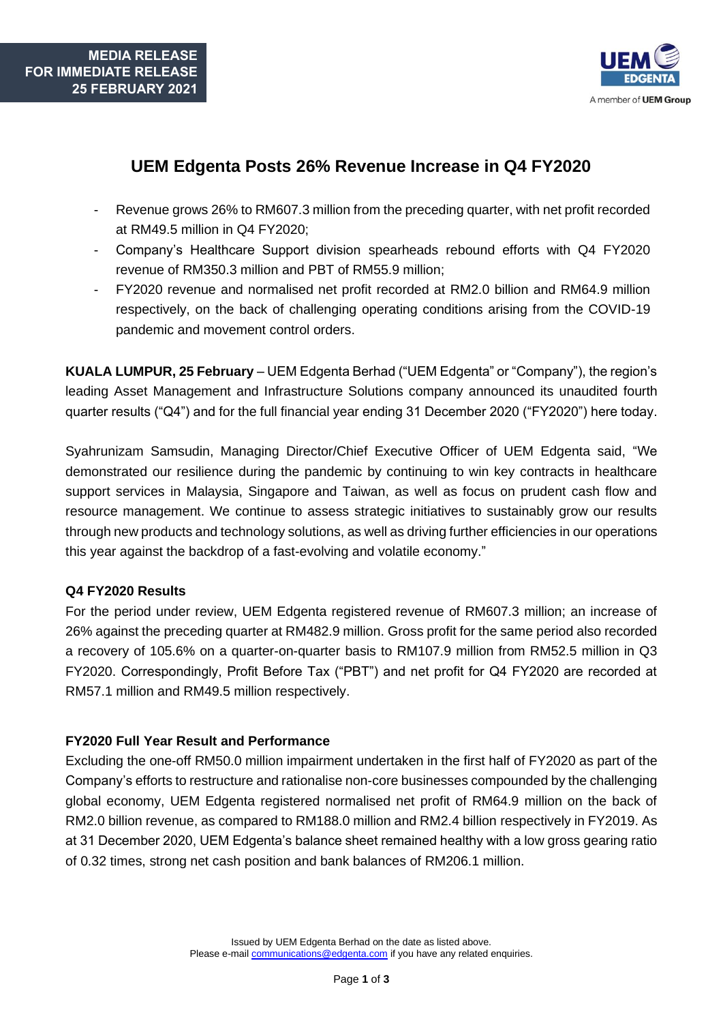

# **UEM Edgenta Posts 26% Revenue Increase in Q4 FY2020**

- Revenue grows 26% to RM607.3 million from the preceding quarter, with net profit recorded at RM49.5 million in Q4 FY2020;
- Company's Healthcare Support division spearheads rebound efforts with Q4 FY2020 revenue of RM350.3 million and PBT of RM55.9 million;
- FY2020 revenue and normalised net profit recorded at RM2.0 billion and RM64.9 million respectively, on the back of challenging operating conditions arising from the COVID-19 pandemic and movement control orders.

**KUALA LUMPUR, 25 February** – UEM Edgenta Berhad ("UEM Edgenta" or "Company"), the region's leading Asset Management and Infrastructure Solutions company announced its unaudited fourth quarter results ("Q4") and for the full financial year ending 31 December 2020 ("FY2020") here today.

Syahrunizam Samsudin, Managing Director/Chief Executive Officer of UEM Edgenta said, "We demonstrated our resilience during the pandemic by continuing to win key contracts in healthcare support services in Malaysia, Singapore and Taiwan, as well as focus on prudent cash flow and resource management. We continue to assess strategic initiatives to sustainably grow our results through new products and technology solutions, as well as driving further efficiencies in our operations this year against the backdrop of a fast-evolving and volatile economy."

# **Q4 FY2020 Results**

For the period under review, UEM Edgenta registered revenue of RM607.3 million; an increase of 26% against the preceding quarter at RM482.9 million. Gross profit for the same period also recorded a recovery of 105.6% on a quarter-on-quarter basis to RM107.9 million from RM52.5 million in Q3 FY2020. Correspondingly, Profit Before Tax ("PBT") and net profit for Q4 FY2020 are recorded at RM57.1 million and RM49.5 million respectively.

# **FY2020 Full Year Result and Performance**

Excluding the one-off RM50.0 million impairment undertaken in the first half of FY2020 as part of the Company's efforts to restructure and rationalise non-core businesses compounded by the challenging global economy, UEM Edgenta registered normalised net profit of RM64.9 million on the back of RM2.0 billion revenue, as compared to RM188.0 million and RM2.4 billion respectively in FY2019. As at 31 December 2020, UEM Edgenta's balance sheet remained healthy with a low gross gearing ratio of 0.32 times, strong net cash position and bank balances of RM206.1 million.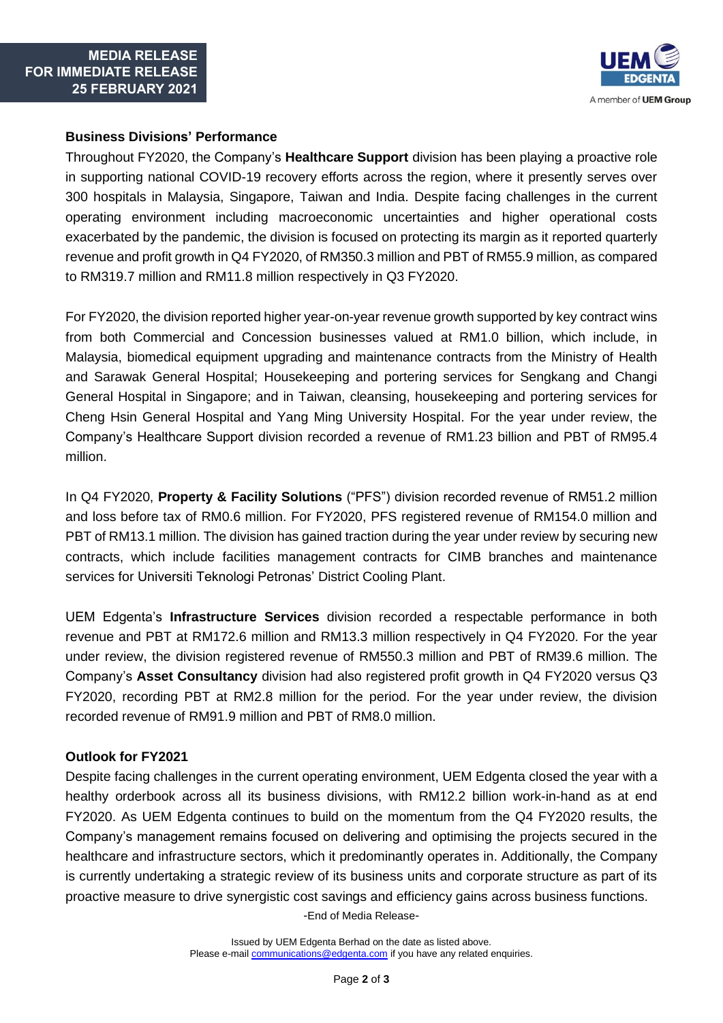

### **Business Divisions' Performance**

Throughout FY2020, the Company's **Healthcare Support** division has been playing a proactive role in supporting national COVID-19 recovery efforts across the region, where it presently serves over 300 hospitals in Malaysia, Singapore, Taiwan and India. Despite facing challenges in the current operating environment including macroeconomic uncertainties and higher operational costs exacerbated by the pandemic, the division is focused on protecting its margin as it reported quarterly revenue and profit growth in Q4 FY2020, of RM350.3 million and PBT of RM55.9 million, as compared to RM319.7 million and RM11.8 million respectively in Q3 FY2020.

For FY2020, the division reported higher year-on-year revenue growth supported by key contract wins from both Commercial and Concession businesses valued at RM1.0 billion, which include, in Malaysia, biomedical equipment upgrading and maintenance contracts from the Ministry of Health and Sarawak General Hospital; Housekeeping and portering services for Sengkang and Changi General Hospital in Singapore; and in Taiwan, cleansing, housekeeping and portering services for Cheng Hsin General Hospital and Yang Ming University Hospital. For the year under review, the Company's Healthcare Support division recorded a revenue of RM1.23 billion and PBT of RM95.4 million.

In Q4 FY2020, **Property & Facility Solutions** ("PFS") division recorded revenue of RM51.2 million and loss before tax of RM0.6 million. For FY2020, PFS registered revenue of RM154.0 million and PBT of RM13.1 million. The division has gained traction during the year under review by securing new contracts, which include facilities management contracts for CIMB branches and maintenance services for Universiti Teknologi Petronas' District Cooling Plant.

UEM Edgenta's **Infrastructure Services** division recorded a respectable performance in both revenue and PBT at RM172.6 million and RM13.3 million respectively in Q4 FY2020. For the year under review, the division registered revenue of RM550.3 million and PBT of RM39.6 million. The Company's **Asset Consultancy** division had also registered profit growth in Q4 FY2020 versus Q3 FY2020, recording PBT at RM2.8 million for the period. For the year under review, the division recorded revenue of RM91.9 million and PBT of RM8.0 million.

#### **Outlook for FY2021**

Despite facing challenges in the current operating environment, UEM Edgenta closed the year with a healthy orderbook across all its business divisions, with RM12.2 billion work-in-hand as at end FY2020. As UEM Edgenta continues to build on the momentum from the Q4 FY2020 results, the Company's management remains focused on delivering and optimising the projects secured in the healthcare and infrastructure sectors, which it predominantly operates in. Additionally, the Company is currently undertaking a strategic review of its business units and corporate structure as part of its proactive measure to drive synergistic cost savings and efficiency gains across business functions.

-End of Media Release-

Issued by UEM Edgenta Berhad on the date as listed above. Please e-mail **communications**@edgenta.com if you have any related enquiries.